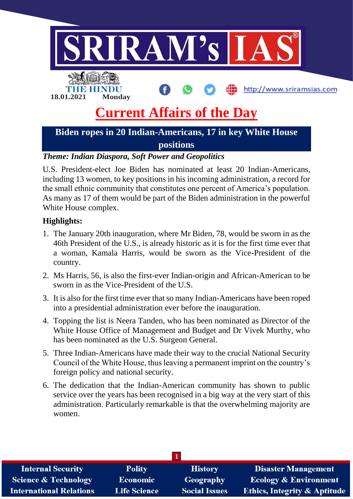

### *Theme: Indian Diaspora, Soft Power and Geopolitics*

U.S. President-elect Joe Biden has nominated at least 20 Indian-Americans, including 13 women, to key positions in his incoming administration, a record for the small ethnic community that constitutes one percent of America's population. As many as 17 of them would be part of the Biden administration in the powerful White House complex.

#### **Highlights:**

- 1. The January 20th inauguration, where Mr Biden, 78, would be sworn in as the 46th President of the U.S., is already historic as it is for the first time ever that a woman, Kamala Harris, would be sworn as the Vice-President of the country.
- 2. Ms Harris, 56, is also the first-ever Indian-origin and African-American to be sworn in as the Vice-President of the U.S.
- 3. It is also for the first time ever that so many Indian-Americans have been roped into a presidential administration ever before the inauguration.
- 4. Topping the list is Neera Tanden, who has been nominated as Director of the White House Office of Management and Budget and Dr Vivek Murthy, who has been nominated as the U.S. Surgeon General.
- 5. Three Indian-Americans have made their way to the crucial National Security Council of the White House, thus leaving a permanent imprint on the country's foreign policy and national security.
- 6. The dedication that the Indian-American community has shown to public service over the years has been recognised in a big way at the very start of this administration. Particularly remarkable is that the overwhelming majority are women.

| <b>Internal Security</b>        | <b>Polity</b>       | <b>History</b>       | <b>Disaster Management</b>              |
|---------------------------------|---------------------|----------------------|-----------------------------------------|
| <b>Science &amp; Technology</b> | <b>Economic</b>     | Geography            | <b>Ecology &amp; Environment</b>        |
| <b>International Relations</b>  | <b>Life Science</b> | <b>Social Issues</b> | <b>Ethics, Integrity &amp; Aptitude</b> |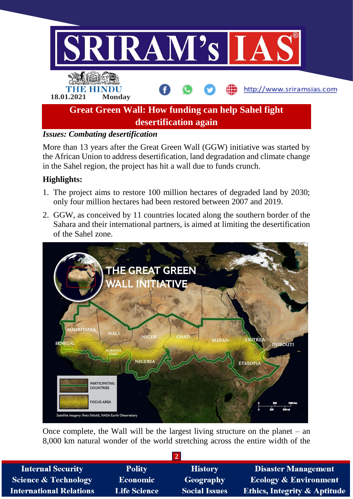

#### *Issues: Combating desertification*

More than 13 years after the Great Green Wall (GGW) initiative was started by the African Union to address desertification, land degradation and climate change in the Sahel region, the project has hit a wall due to funds crunch.

#### **Highlights:**

- 1. The project aims to restore 100 million hectares of degraded land by 2030; only four million hectares had been restored between 2007 and 2019.
- 2. GGW, as conceived by 11 countries located along the southern border of the Sahara and their international partners, is aimed at limiting the desertification of the Sahel zone.



Once complete, the Wall will be the largest living structure on the planet – an 8,000 km natural wonder of the world stretching across the entire width of the

| <b>Internal Security</b>        | <b>Polity</b>       | <b>History</b>       | <b>Disaster Management</b>              |  |  |  |
|---------------------------------|---------------------|----------------------|-----------------------------------------|--|--|--|
| <b>Science &amp; Technology</b> | <b>Economic</b>     | Geography            | <b>Ecology &amp; Environment</b>        |  |  |  |
| <b>International Relations</b>  | <b>Life Science</b> | <b>Social Issues</b> | <b>Ethics, Integrity &amp; Aptitude</b> |  |  |  |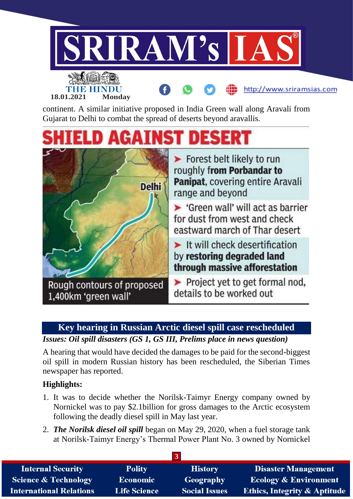

Gujarat to Delhi to combat the spread of deserts beyond aravallis.

# **IST DESERT**



**Key hearing in Russian Arctic diesel spill case rescheduled**

*Issues: Oil spill disasters (GS 1, GS III, Prelims place in news question)*

A hearing that would have decided the damages to be paid for the second-biggest oil spill in modern Russian history has been rescheduled, the Siberian Times newspaper has reported.

## **Highlights:**

- 1. It was to decide whether the Norilsk-Taimyr Energy company owned by Nornickel was to pay \$2.1billion for gross damages to the Arctic ecosystem following the deadly diesel spill in May last year.
- 2. *The Norilsk diesel oil spill* began on May 29, 2020, when a fuel storage tank at Norilsk-Taimyr Energy's Thermal Power Plant No. 3 owned by Nornickel

| <b>Internal Security</b>        | <b>Polity</b>       | <b>History</b>       | <b>Disaster Management</b>              |  |  |  |
|---------------------------------|---------------------|----------------------|-----------------------------------------|--|--|--|
| <b>Science &amp; Technology</b> | <b>Economic</b>     | Geography            | <b>Ecology &amp; Environment</b>        |  |  |  |
| <b>International Relations</b>  | <b>Life Science</b> | <b>Social Issues</b> | <b>Ethics, Integrity &amp; Aptitude</b> |  |  |  |